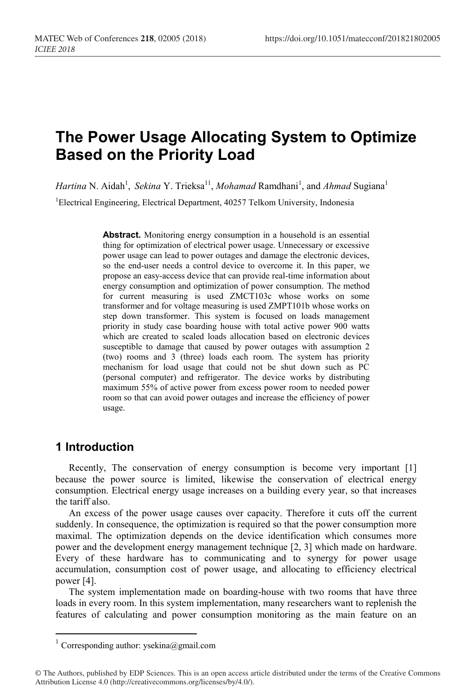# **The Power Usage Allocating System to Optimize Based on the Priority Load**

Hartina N. Aidah<sup>1</sup>, Sekina Y. Trieksa<sup>11</sup>, Mohamad Ramdhani<sup>1</sup>, and Ahmad Sugiana<sup>1</sup> <sup>1</sup>Electrical Engineering, Electrical Department, 40257 Telkom University, Indonesia

> **Abstract.** Monitoring energy consumption in a household is an essential thing for optimization of electrical power usage. Unnecessary or excessive power usage can lead to power outages and damage the electronic devices, so the end-user needs a control device to overcome it. In this paper, we propose an easy-access device that can provide real-time information about energy consumption and optimization of power consumption. The method for current measuring is used ZMCT103c whose works on some transformer and for voltage measuring is used ZMPT101b whose works on step down transformer. This system is focused on loads management priority in study case boarding house with total active power 900 watts which are created to scaled loads allocation based on electronic devices susceptible to damage that caused by power outages with assumption 2 (two) rooms and 3 (three) loads each room. The system has priority mechanism for load usage that could not be shut down such as PC (personal computer) and refrigerator. The device works by distributing maximum 55% of active power from excess power room to needed power room so that can avoid power outages and increase the efficiency of power usage.

# **1 Introduction**

Recently, The conservation of energy consumption is become very important [1] because the power source is limited, likewise the conservation of electrical energy consumption. Electrical energy usage increases on a building every year, so that increases the tariff also.

An excess of the power usage causes over capacity. Therefore it cuts off the current suddenly. In consequence, the optimization is required so that the power consumption more maximal. The optimization depends on the device identification which consumes more power and the development energy management technique [2, 3] which made on hardware. Every of these hardware has to communicating and to synergy for power usage accumulation, consumption cost of power usage, and allocating to efficiency electrical power [4].

The system implementation made on boarding-house with two rooms that have three loads in every room. In this system implementation, many researchers want to replenish the features of calculating and power consumption monitoring as the main feature on an

 $1$  Corresponding author: ysekina@gmail.com

<sup>©</sup> The Authors, published by EDP Sciences. This is an open access article distributed under the terms of the Creative Commons Attribution License 4.0 (http://creativecommons.org/licenses/by/4.0/).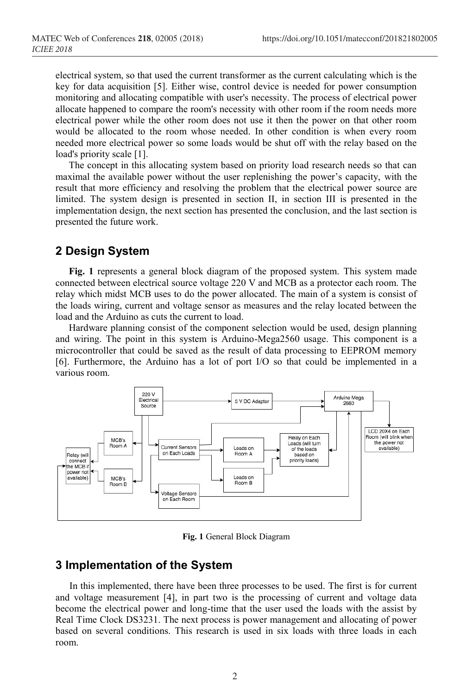electrical system, so that used the current transformer as the current calculating which is the key for data acquisition [5]. Either wise, control device is needed for power consumption monitoring and allocating compatible with user's necessity. The process of electrical power allocate happened to compare the room's necessity with other room if the room needs more electrical power while the other room does not use it then the power on that other room would be allocated to the room whose needed. In other condition is when every room needed more electrical power so some loads would be shut off with the relay based on the load's priority scale [1].

The concept in this allocating system based on priority load research needs so that can maximal the available power without the user replenishing the power's capacity, with the result that more efficiency and resolving the problem that the electrical power source are limited. The system design is presented in section II, in section III is presented in the implementation design, the next section has presented the conclusion, and the last section is presented the future work.

### **2 Design System**

**Fig. 1** represents a general block diagram of the proposed system. This system made connected between electrical source voltage 220 V and MCB as a protector each room. The relay which midst MCB uses to do the power allocated. The main of a system is consist of the loads wiring, current and voltage sensor as measures and the relay located between the load and the Arduino as cuts the current to load.

Hardware planning consist of the component selection would be used, design planning and wiring. The point in this system is Arduino-Mega2560 usage. This component is a microcontroller that could be saved as the result of data processing to EEPROM memory [6]. Furthermore, the Arduino has a lot of port I/O so that could be implemented in a various room.



**Fig. 1** General Block Diagram

#### **3 Implementation of the System**

In this implemented, there have been three processes to be used. The first is for current and voltage measurement [4], in part two is the processing of current and voltage data become the electrical power and long-time that the user used the loads with the assist by Real Time Clock DS3231. The next process is power management and allocating of power based on several conditions. This research is used in six loads with three loads in each room.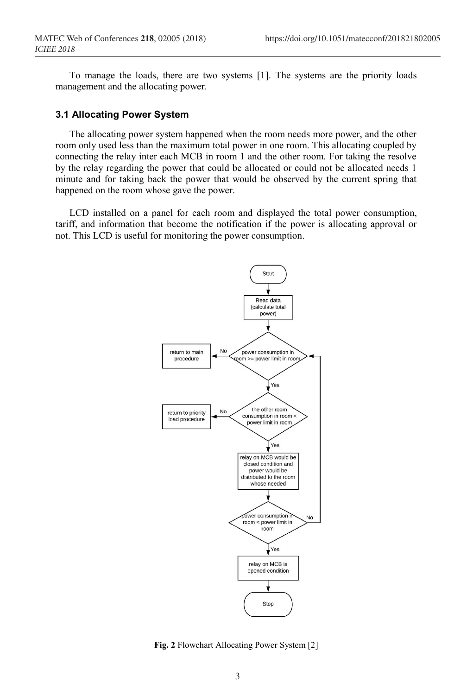To manage the loads, there are two systems [1]. The systems are the priority loads management and the allocating power.

#### **3.1 Allocating Power System**

The allocating power system happened when the room needs more power, and the other room only used less than the maximum total power in one room. This allocating coupled by connecting the relay inter each MCB in room 1 and the other room. For taking the resolve by the relay regarding the power that could be allocated or could not be allocated needs 1 minute and for taking back the power that would be observed by the current spring that happened on the room whose gave the power.

LCD installed on a panel for each room and displayed the total power consumption, tariff, and information that become the notification if the power is allocating approval or not. This LCD is useful for monitoring the power consumption.



**Fig. 2** Flowchart Allocating Power System [2]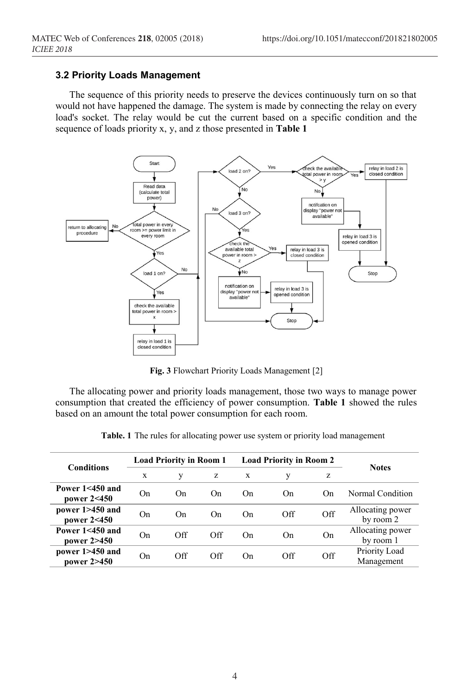#### **3.2 Priority Loads Management**

The sequence of this priority needs to preserve the devices continuously turn on so that would not have happened the damage. The system is made by connecting the relay on every load's socket. The relay would be cut the current based on a specific condition and the sequence of loads priority x, y, and z those presented in **Table 1**



**Fig. 3** Flowchart Priority Loads Management [2]

The allocating power and priority loads management, those two ways to manage power consumption that created the efficiency of power consumption. **Table 1** showed the rules based on an amount the total power consumption for each room.

| <b>Conditions</b>                  | <b>Load Priority in Room 1</b> |     |     | <b>Load Priority in Room 2</b> |                |                | <b>Notes</b>                  |
|------------------------------------|--------------------------------|-----|-----|--------------------------------|----------------|----------------|-------------------------------|
|                                    | X                              | y   | z   | X                              | V              | z              |                               |
| Power $1 < 450$ and<br>power 2<450 | On.                            | On. | On. | On.                            | O <sub>n</sub> | On             | Normal Condition              |
| power 1>450 and<br>power 2<450     | On                             | On  | On. | On                             | Off            | Off            | Allocating power<br>by room 2 |
| Power $1 < 450$ and<br>power 2>450 | On                             | Off | Off | On                             | O <sub>n</sub> | O <sub>n</sub> | Allocating power<br>by room 1 |
| power 1>450 and<br>power 2>450     | On.                            | Off | Off | On                             | Off            | Off            | Priority Load<br>Management   |

**Table. 1** The rules for allocating power use system or priority load management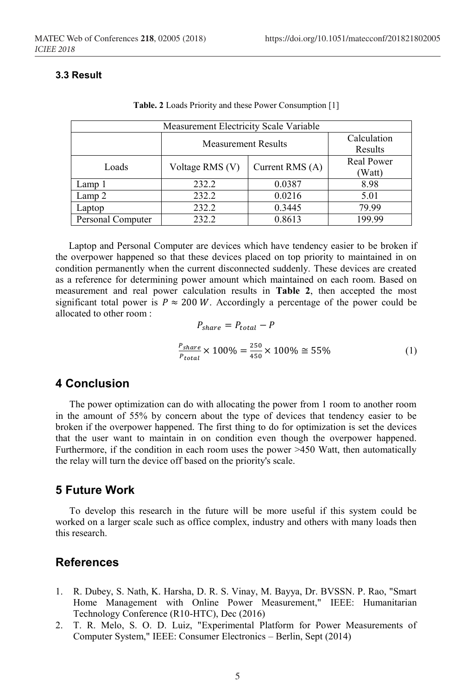#### **3.3 Result**

| Measurement Electricity Scale Variable |                            |                        |                             |  |  |  |  |
|----------------------------------------|----------------------------|------------------------|-----------------------------|--|--|--|--|
|                                        | <b>Measurement Results</b> | Calculation<br>Results |                             |  |  |  |  |
| Loads                                  | Voltage RMS (V)            | Current RMS (A)        | <b>Real Power</b><br>(Watt) |  |  |  |  |
| Lamp 1                                 | 232.2                      | 0.0387                 | 8.98                        |  |  |  |  |
| Lamp 2                                 | 232.2                      | 0.0216                 | 5.01                        |  |  |  |  |
| Laptop                                 | 232.2                      | 0.3445                 | 79.99                       |  |  |  |  |
| Personal Computer                      | 232.2                      | 0.8613                 | 199.99                      |  |  |  |  |

**Table. 2** Loads Priority and these Power Consumption [1]

Laptop and Personal Computer are devices which have tendency easier to be broken if the overpower happened so that these devices placed on top priority to maintained in on condition permanently when the current disconnected suddenly. These devices are created as a reference for determining power amount which maintained on each room. Based on measurement and real power calculation results in **Table 2**, then accepted the most significant total power is  $P \approx 200 W$ . Accordingly a percentage of the power could be allocated to other room :

$$
P_{share} = P_{total} - P
$$
  

$$
\frac{P_{share}}{P_{total}} \times 100\% = \frac{250}{450} \times 100\% \approx 55\%
$$
 (1)

## **4 Conclusion**

The power optimization can do with allocating the power from 1 room to another room in the amount of 55% by concern about the type of devices that tendency easier to be broken if the overpower happened. The first thing to do for optimization is set the devices that the user want to maintain in on condition even though the overpower happened. Furthermore, if the condition in each room uses the power >450 Watt, then automatically the relay will turn the device off based on the priority's scale.

# **5 Future Work**

To develop this research in the future will be more useful if this system could be worked on a larger scale such as office complex, industry and others with many loads then this research.

## **References**

- 1. R. Dubey, S. Nath, K. Harsha, D. R. S. Vinay, M. Bayya, Dr. BVSSN. P. Rao, "Smart Home Management with Online Power Measurement," IEEE: Humanitarian Technology Conference (R10-HTC), Dec (2016)
- 2. T. R. Melo, S. O. D. Luiz, "Experimental Platform for Power Measurements of Computer System," IEEE: Consumer Electronics – Berlin, Sept (2014)